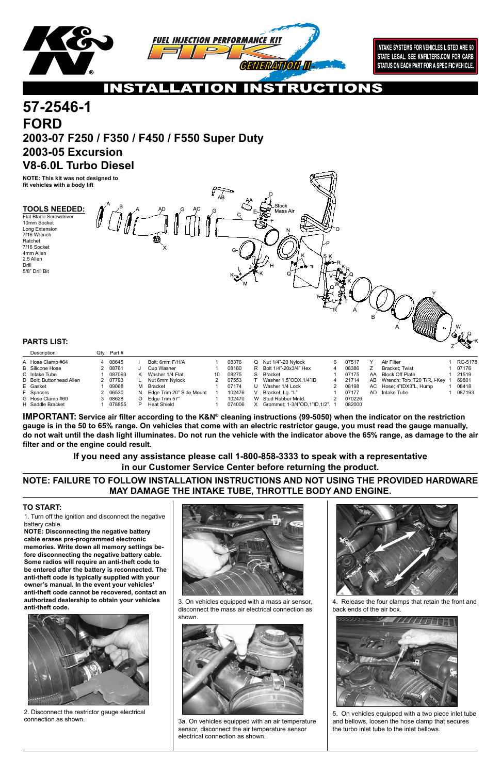

**INTAKE SYSTEMS FOR VEHICLES LISTED ARE 50** STATE LEGAL. SEE KNFILTERS.COM FOR CARB STATUS ON EACH PART FOR A SPECIFIC VEHICLE.

## $\bullet$

Flat Blade Screwdriver 10mm Socket Long Extension 7/16 Wrench Ratchet 7/16 Socket 4mm Allen 2.5 Allen Drill 5/8" Drill Bit



2. Disconnect the restrictor gauge electrical connection as shown.

3. On vehicles equipped with a mass air sensor, disconnect the mass air electrical connection as shown.



3a. On vehicles equipped with an air temperature sensor, disconnect the air temperature sensor electrical connection as shown.

4. Release the four clamps that retain the front and back ends of the air box.



5. On vehicles equipped with a two piece inlet tube and bellows, loosen the hose clamp that secures the turbo inlet tube to the inlet bellows.

### **TO START:**

# **FORD 2003-07 F250 / F350 / F450 / F550 Super Duty 2003-05 Excursion V8-6.0L Turbo Diesel 57-2546-1**

| Description              | Qtv. | Part #  |    |                          |    |        |    |                                |   |        |    |                             |         |
|--------------------------|------|---------|----|--------------------------|----|--------|----|--------------------------------|---|--------|----|-----------------------------|---------|
| A Hose Clamp #64         |      | 4 08645 |    | Bolt: 6mm F/H/A          |    | 08376  | O  | Nut 1/4"-20 Nylock             | 6 | 07517  |    | Air Filter                  | RC-5178 |
| <b>B</b> Silicone Hose   |      | 2 08761 |    | Cup Washer               |    | 08180  |    | R Bolt 1/4"-20x3/4" Hex        | 4 | 08386  |    | Bracket: Twist              | 07176   |
| C Intake Tube            |      | 087093  |    | Washer 1/4 Flat          | 10 | 08275  | S. | Bracket                        |   | 07175  | AA | Block Off Plate             | 21519   |
| D Bolt: Buttonhead Allen |      | 2 07793 |    | Nut 6mm Nylock           |    | 07553  |    | Washer 1.5"ODX 1/4"ID          | 4 | 21714  | AB | Wrench; Torx T20 T/R, I-Key | 69801   |
| E Gasket                 |      | 09068   | м  | Bracket                  |    | 07174  |    | Washer 1/4 Lock                |   | 08198  |    | AC Hose: 4"IDX3"L, Hump     | 08418   |
| F Spacers                |      | 2 06530 | N. | Edge Trim 20" Side Mount |    | 102476 |    | Bracket: Lg. "L"               |   | 07177  | AD | Intake Tube                 | 087193  |
| G Hose Clamp #60         |      | 3 08628 | O  | Edge Trim 57"            |    | 102470 |    | W Stud Rubber Mntd.            |   | 070226 |    |                             |         |
| H Saddle Bracket         |      | 078855  |    | Heat Shield              |    | 074006 | x  | Grommet: 1-3/4"OD 1"ID 1/2". 1 |   | 082000 |    |                             |         |

### **PARTS LIST:**

**IMPORTANT: Service air filter according to the K&N® cleaning instructions (99-5050) when the indicator on the restriction gauge is in the 50 to 65% range. On vehicles that come with an electric restrictor gauge, you must read the gauge manually, do not wait until the dash light illuminates. Do not run the vehicle with the indicator above the 65% range, as damage to the air filter and or the engine could result.**

**NOTE: This kit was not designed to fit vehicles with a body lift**



#### **TOOLS NEEDED:**

1. Turn off the ignition and disconnect the negative battery cable.

**NOTE: Disconnecting the negative battery cable erases pre-programmed electronic memories. Write down all memory settings before disconnecting the negative battery cable. Some radios will require an anti-theft code to be entered after the battery is reconnected. The anti-theft code is typically supplied with your owner's manual. In the event your vehicles' anti-theft code cannot be recovered, contact an authorized dealership to obtain your vehicles anti-theft code.**





### **NOTE: FAILURE TO FOLLOW INSTALLATION INSTRUCTIONS AND NOT USING THE PROVIDED HARDWARE MAY DAMAGE THE INTAKE TUBE, THROTTLE BODY AND ENGINE.**

**If you need any assistance please call 1-800-858-3333 to speak with a representative in our Customer Service Center before returning the product.**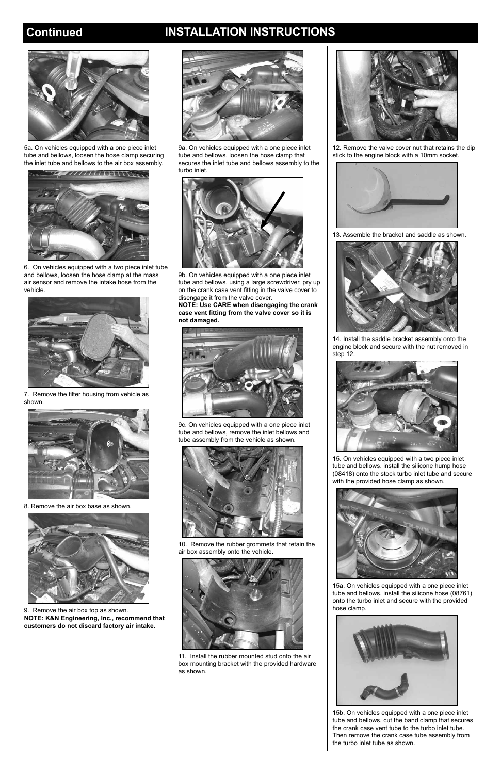## **Continued INSTALLATION INSTRUCTIONS**



6. On vehicles equipped with a two piece inlet tube and bellows, loosen the hose clamp at the mass air sensor and remove the intake hose from the vehicle.



7. Remove the filter housing from vehicle as shown.



8. Remove the air box base as shown.



9b. On vehicles equipped with a one piece inlet tube and bellows, using a large screwdriver, pry up on the crank case vent fitting in the valve cover to disengage it from the valve cover.

**NOTE: Use CARE when disengaging the crank case vent fitting from the valve cover so it is not damaged.**



9c. On vehicles equipped with a one piece inlet tube and bellows, remove the inlet bellows and tube assembly from the vehicle as shown.



10. Remove the rubber grommets that retain the air box assembly onto the vehicle.



13. Assemble the bracket and saddle as shown.

9. Remove the air box top as shown. **NOTE: K&N Engineering, Inc., recommend that customers do not discard factory air intake.** 





9a. On vehicles equipped with a one piece inlet tube and bellows, loosen the hose clamp that secures the inlet tube and bellows assembly to the turbo inlet.



11. Install the rubber mounted stud onto the air box mounting bracket with the provided hardware as shown.



12. Remove the valve cover nut that retains the dip stick to the engine block with a 10mm socket.



14. Install the saddle bracket assembly onto the engine block and secure with the nut removed in step 12.



15. On vehicles equipped with a two piece inlet tube and bellows, install the silicone hump hose (08418) onto the stock turbo inlet tube and secure with the provided hose clamp as shown.



15a. On vehicles equipped with a one piece inlet tube and bellows, install the silicone hose (08761) onto the turbo inlet and secure with the provided hose clamp.





5a. On vehicles equipped with a one piece inlet tube and bellows, loosen the hose clamp securing the inlet tube and bellows to the air box assembly.

15b. On vehicles equipped with a one piece inlet tube and bellows, cut the band clamp that secures the crank case vent tube to the turbo inlet tube. Then remove the crank case tube assembly from the turbo inlet tube as shown.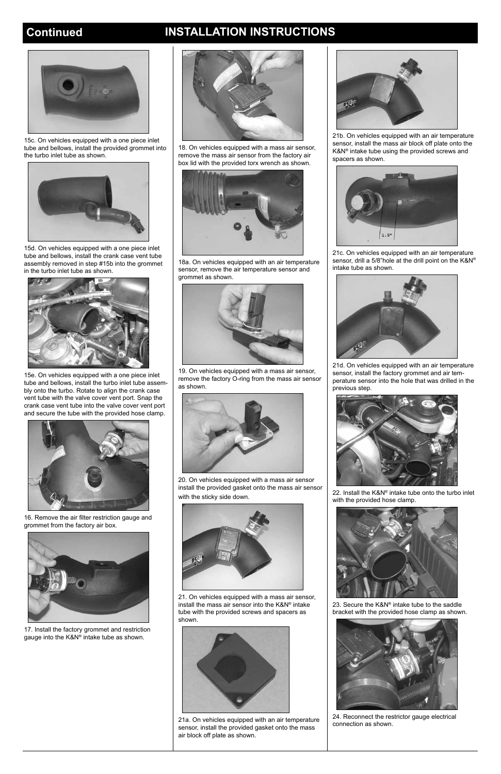

15c. On vehicles equipped with a one piece inlet tube and bellows, install the provided grommet into the turbo inlet tube as shown.



15d. On vehicles equipped with a one piece inlet tube and bellows, install the crank case vent tube assembly removed in step #15b into the grommet in the turbo inlet tube as shown.



15e. On vehicles equipped with a one piece inlet tube and bellows, install the turbo inlet tube assembly onto the turbo. Rotate to align the crank case vent tube with the valve cover vent port. Snap the crank case vent tube into the valve cover vent port and secure the tube with the provided hose clamp.

18. On vehicles equipped with a mass air sensor, remove the mass air sensor from the factory air box lid with the provided torx wrench as shown.



18a. On vehicles equipped with an air temperature sensor, remove the air temperature sensor and grommet as shown.



19. On vehicles equipped with a mass air sensor, remove the factory O-ring from the mass air sensor as shown.

21a. On vehicles equipped with an air temperature sensor, install the provided gasket onto the mass air block off plate as shown.



16. Remove the air filter restriction gauge and grommet from the factory air box.





17. Install the factory grommet and restriction gauge into the K&N® intake tube as shown.



20. On vehicles equipped with a mass air sensor install the provided gasket onto the mass air sensor with the sticky side down.



21. On vehicles equipped with a mass air sensor, install the mass air sensor into the K&N® intake tube with the provided screws and spacers as shown.





21b. On vehicles equipped with an air temperature sensor, install the mass air block off plate onto the K&N® intake tube using the provided screws and spacers as shown.



21c. On vehicles equipped with an air temperature sensor, drill a 5/8"hole at the drill point on the K&N® intake tube as shown.



21d. On vehicles equipped with an air temperature sensor, install the factory grommet and air temperature sensor into the hole that was drilled in the previous step.



22. Install the K&N® intake tube onto the turbo inlet with the provided hose clamp.



23. Secure the K&N® intake tube to the saddle bracket with the provided hose clamp as shown.



24. Reconnect the restrictor gauge electrical connection as shown.

## **Continued INSTALLATION INSTRUCTIONS**